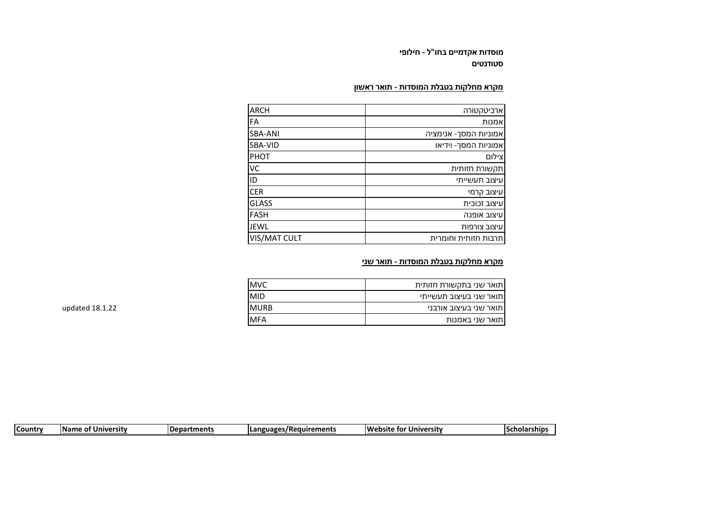**מוסדות אקדמיים בחו"ל - חילופי סטודנטים**

## **מקרא מחלקות בטבלת המוסדות - תואר ראשון**

| <b>ARCH</b>    | ארביטקטורה            |
|----------------|-----------------------|
| FA             | ואמנות                |
| <b>SBA-ANI</b> | אמוניות המסך- אנימציה |
| SBA-VID        | אמוניות המסך- וידיאו  |
| PHOT           | צילום                 |
| VC             | תקשורת חזותית         |
| ID             | עיצוב תעשייתי         |
| <b>CER</b>     | עיצוב קרמי            |
| <b>GLASS</b>   | עיצוב זכוכית          |
| <b>FASH</b>    | עיצוב אופנה           |
| <b>JEWL</b>    | עיצוב צורפות          |
| VIS/MAT CULT   | תרבות חזותית וחומרית  |

## **מקרא מחלקות בטבלת המוסדות - תואר שני**

| MVC.        | תואר שני בתקשורת חזותית |
|-------------|-------------------------|
| MID         | תואר שני בעיצוב תעשייתי |
| <b>MURB</b> | תואר שני בעיצוב אורבני  |
| MFA         | תואר שני באמנות         |
|             |                         |

updated 18.1.22

| <b>Country</b> | <b>Name</b><br><b>University</b><br>⊹ ot | <b>IDepartments</b> | <b>Languages/Requirements</b> | <b>IWebsite for</b><br><b>Jniversity</b> | Scholarship: |
|----------------|------------------------------------------|---------------------|-------------------------------|------------------------------------------|--------------|
|                |                                          |                     |                               |                                          |              |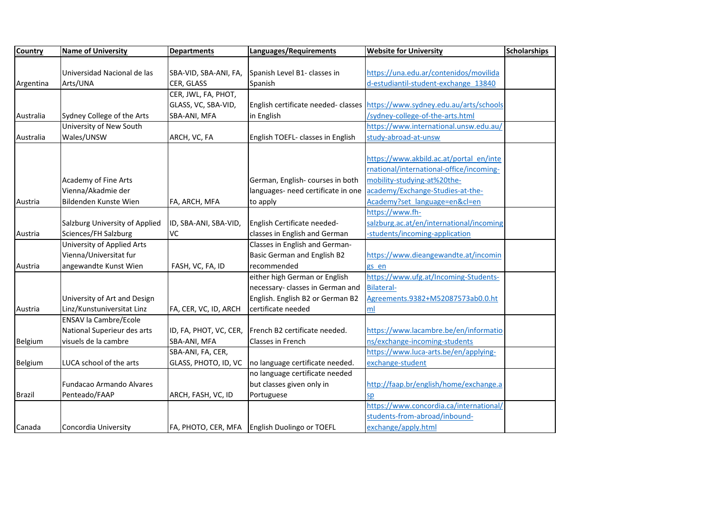| <b>Country</b> | <b>Name of University</b>       | <b>Departments</b>     | Languages/Requirements                          | <b>Website for University</b>            | <b>Scholarships</b> |
|----------------|---------------------------------|------------------------|-------------------------------------------------|------------------------------------------|---------------------|
|                |                                 |                        |                                                 |                                          |                     |
|                | Universidad Nacional de las     | SBA-VID, SBA-ANI, FA,  | Spanish Level B1- classes in                    | https://una.edu.ar/contenidos/movilida   |                     |
| Argentina      | Arts/UNA                        | CER, GLASS             | Spanish                                         | d-estudiantil-student-exchange 13840     |                     |
|                |                                 | CER, JWL, FA, PHOT,    |                                                 |                                          |                     |
|                |                                 | GLASS, VC, SBA-VID,    | English certificate needed- classes             | https://www.sydney.edu.au/arts/schools   |                     |
| Australia      | Sydney College of the Arts      | SBA-ANI, MFA           | in English                                      | /sydney-college-of-the-arts.html         |                     |
|                | University of New South         |                        |                                                 | https://www.international.unsw.edu.au/   |                     |
| Australia      | Wales/UNSW                      | ARCH, VC, FA           | English TOEFL- classes in English               | study-abroad-at-unsw                     |                     |
|                |                                 |                        |                                                 |                                          |                     |
|                |                                 |                        |                                                 | https://www.akbild.ac.at/portal_en/inte  |                     |
|                |                                 |                        |                                                 | rnational/international-office/incoming- |                     |
|                | Academy of Fine Arts            |                        | German, English- courses in both                | mobility-studying-at%20the-              |                     |
|                | Vienna/Akadmie der              |                        | languages- need certificate in one              | academy/Exchange-Studies-at-the-         |                     |
| Austria        | Bildenden Kunste Wien           | FA, ARCH, MFA          | to apply                                        | Academy?set language=en&cl=en            |                     |
|                |                                 |                        |                                                 | https://www.fh-                          |                     |
|                | Salzburg University of Applied  | ID, SBA-ANI, SBA-VID,  | English Certificate needed-                     | salzburg.ac.at/en/international/incoming |                     |
| Austria        | Sciences/FH Salzburg            | <b>VC</b>              | classes in English and German                   | -students/incoming-application           |                     |
|                | University of Applied Arts      |                        | Classes in English and German-                  |                                          |                     |
|                | Vienna/Universitat fur          |                        | <b>Basic German and English B2</b>              | https://www.dieangewandte.at/incomin     |                     |
| Austria        | angewandte Kunst Wien           | FASH, VC, FA, ID       | recommended                                     | gs en                                    |                     |
|                |                                 |                        | either high German or English                   | https://www.ufg.at/Incoming-Students-    |                     |
|                |                                 |                        | necessary- classes in German and                | <b>Bilateral-</b>                        |                     |
|                | University of Art and Design    |                        | English. English B2 or German B2                | Agreements.9382+M52087573ab0.0.ht        |                     |
| Austria        | Linz/Kunstuniversitat Linz      | FA, CER, VC, ID, ARCH  | certificate needed                              | ml                                       |                     |
|                | <b>ENSAV la Cambre/Ecole</b>    |                        |                                                 |                                          |                     |
|                | National Superieur des arts     | ID, FA, PHOT, VC, CER, | French B2 certificate needed.                   | https://www.lacambre.be/en/informatio    |                     |
| Belgium        | visuels de la cambre            | SBA-ANI, MFA           | Classes in French                               | ns/exchange-incoming-students            |                     |
|                |                                 | SBA-ANI, FA, CER,      |                                                 | https://www.luca-arts.be/en/applying-    |                     |
| Belgium        | LUCA school of the arts         | GLASS, PHOTO, ID, VC   | no language certificate needed.                 | exchange-student                         |                     |
|                |                                 |                        | no language certificate needed                  |                                          |                     |
|                | <b>Fundacao Armando Alvares</b> |                        | but classes given only in                       | http://faap.br/english/home/exchange.a   |                     |
| <b>Brazil</b>  | Penteado/FAAP                   | ARCH, FASH, VC, ID     | Portuguese                                      | sp                                       |                     |
|                |                                 |                        |                                                 | https://www.concordia.ca/international/  |                     |
|                |                                 |                        |                                                 | students-from-abroad/inbound-            |                     |
| Canada         | Concordia University            |                        | FA, PHOTO, CER, MFA   English Duolingo or TOEFL | exchange/apply.html                      |                     |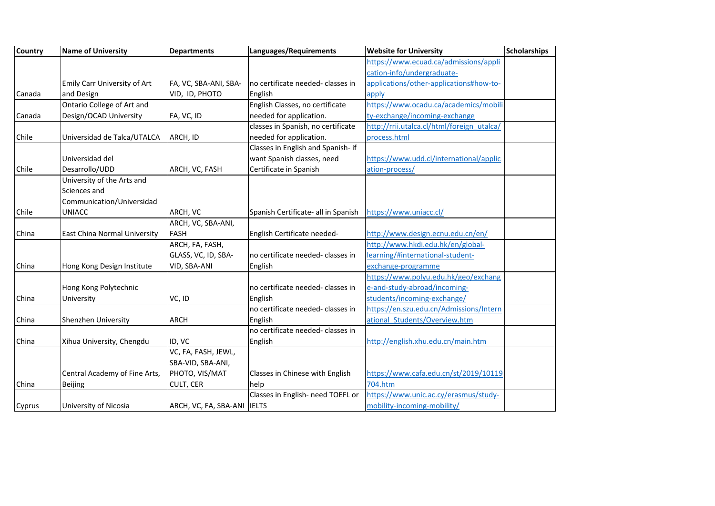| <b>Country</b> | <b>Name of University</b>     | <b>Departments</b>          | Languages/Requirements              | <b>Website for University</b>              | <b>Scholarships</b> |
|----------------|-------------------------------|-----------------------------|-------------------------------------|--------------------------------------------|---------------------|
|                |                               |                             |                                     | https://www.ecuad.ca/admissions/appli      |                     |
|                |                               |                             |                                     | cation-info/undergraduate-                 |                     |
|                | Emily Carr University of Art  | FA, VC, SBA-ANI, SBA-       | no certificate needed- classes in   | applications/other-applications#how-to-    |                     |
| Canada         | and Design                    | VID, ID, PHOTO              | English                             | apply                                      |                     |
|                | Ontario College of Art and    |                             | English Classes, no certificate     | https://www.ocadu.ca/academics/mobili      |                     |
| Canada         | Design/OCAD University        | FA, VC, ID                  | needed for application.             | ty-exchange/incoming-exchange              |                     |
|                |                               |                             | classes in Spanish, no certificate  | http://rrii.utalca.cl/html/foreign_utalca/ |                     |
| Chile          | Universidad de Talca/UTALCA   | ARCH, ID                    | needed for application.             | process.html                               |                     |
|                |                               |                             | Classes in English and Spanish- if  |                                            |                     |
|                | Universidad del               |                             | want Spanish classes, need          | https://www.udd.cl/international/applic    |                     |
| Chile          | Desarrollo/UDD                | ARCH, VC, FASH              | Certificate in Spanish              | ation-process/                             |                     |
|                | University of the Arts and    |                             |                                     |                                            |                     |
|                | Sciences and                  |                             |                                     |                                            |                     |
|                | Communication/Universidad     |                             |                                     |                                            |                     |
| Chile          | <b>UNIACC</b>                 | ARCH, VC                    | Spanish Certificate- all in Spanish | https://www.uniacc.cl/                     |                     |
|                |                               | ARCH, VC, SBA-ANI,          |                                     |                                            |                     |
| China          | East China Normal University  | <b>FASH</b>                 | English Certificate needed-         | http://www.design.ecnu.edu.cn/en/          |                     |
|                |                               | ARCH, FA, FASH,             |                                     | http://www.hkdi.edu.hk/en/global-          |                     |
|                |                               | GLASS, VC, ID, SBA-         | no certificate needed- classes in   | learning/#international-student-           |                     |
| China          | Hong Kong Design Institute    | VID, SBA-ANI                | English                             | exchange-programme                         |                     |
|                |                               |                             |                                     | https://www.polyu.edu.hk/geo/exchang       |                     |
|                | Hong Kong Polytechnic         |                             | no certificate needed- classes in   | e-and-study-abroad/incoming-               |                     |
| China          | University                    | VC, ID                      | English                             | students/incoming-exchange/                |                     |
|                |                               |                             | no certificate needed- classes in   | https://en.szu.edu.cn/Admissions/Intern    |                     |
| China          | Shenzhen University           | <b>ARCH</b>                 | English                             | ational Students/Overview.htm              |                     |
|                |                               |                             | no certificate needed- classes in   |                                            |                     |
| China          | Xihua University, Chengdu     | ID, VC                      | English                             | http://english.xhu.edu.cn/main.htm         |                     |
|                |                               | VC, FA, FASH, JEWL,         |                                     |                                            |                     |
|                |                               | SBA-VID, SBA-ANI,           |                                     |                                            |                     |
|                | Central Academy of Fine Arts, | PHOTO, VIS/MAT              | Classes in Chinese with English     | https://www.cafa.edu.cn/st/2019/10119      |                     |
| China          | <b>Beijing</b>                | CULT, CER                   | help                                | 704.htm                                    |                     |
|                |                               |                             | Classes in English- need TOEFL or   | https://www.unic.ac.cy/erasmus/study-      |                     |
| Cyprus         | University of Nicosia         | ARCH, VC, FA, SBA-ANI IELTS |                                     | mobility-incoming-mobility/                |                     |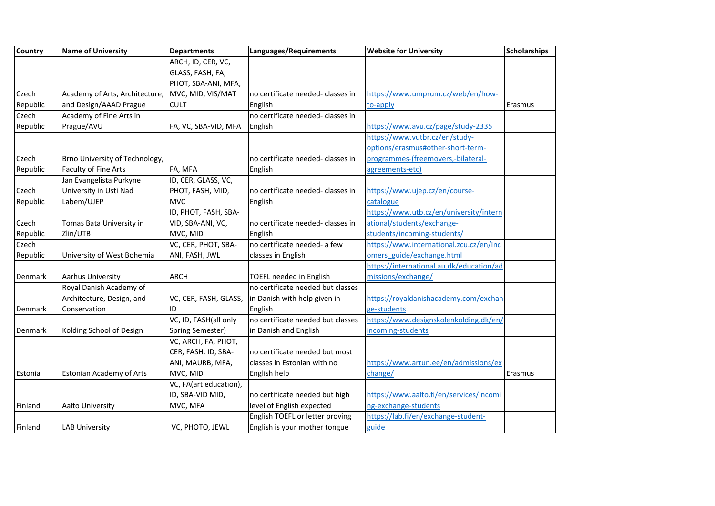| <b>Country</b> | <b>Name of University</b>       | <b>Departments</b>     | Languages/Requirements            | <b>Website for University</b>            | <b>Scholarships</b> |
|----------------|---------------------------------|------------------------|-----------------------------------|------------------------------------------|---------------------|
|                |                                 | ARCH, ID, CER, VC,     |                                   |                                          |                     |
|                |                                 | GLASS, FASH, FA,       |                                   |                                          |                     |
|                |                                 | PHOT, SBA-ANI, MFA,    |                                   |                                          |                     |
| Czech          | Academy of Arts, Architecture,  | MVC, MID, VIS/MAT      | no certificate needed- classes in | https://www.umprum.cz/web/en/how-        |                     |
| Republic       | and Design/AAAD Prague          | <b>CULT</b>            | English                           | to-apply                                 | Erasmus             |
| Czech          | Academy of Fine Arts in         |                        | no certificate needed- classes in |                                          |                     |
| Republic       | Prague/AVU                      | FA, VC, SBA-VID, MFA   | English                           | https://www.avu.cz/page/study-2335       |                     |
|                |                                 |                        |                                   | https://www.vutbr.cz/en/study-           |                     |
|                |                                 |                        |                                   | options/erasmus#other-short-term-        |                     |
| Czech          | Brno University of Technology,  |                        | no certificate needed- classes in | programmes-(freemovers,-bilateral-       |                     |
| Republic       | Faculty of Fine Arts            | FA, MFA                | English                           | agreements-etc)                          |                     |
|                | Jan Evangelista Purkyne         | ID, CER, GLASS, VC,    |                                   |                                          |                     |
| Czech          | University in Usti Nad          | PHOT, FASH, MID,       | no certificate needed- classes in | https://www.ujep.cz/en/course-           |                     |
| Republic       | Labem/UJEP                      | MVC                    | English                           | catalogue                                |                     |
|                |                                 | ID, PHOT, FASH, SBA-   |                                   | https://www.utb.cz/en/university/intern  |                     |
| Czech          | Tomas Bata University in        | VID, SBA-ANI, VC,      | no certificate needed- classes in | ational/students/exchange-               |                     |
| Republic       | Zlin/UTB                        | MVC, MID               | English                           | students/incoming-students/              |                     |
| Czech          |                                 | VC, CER, PHOT, SBA-    | no certificate needed- a few      | https://www.international.zcu.cz/en/Inc  |                     |
| Republic       | University of West Bohemia      | ANI, FASH, JWL         | classes in English                | omers guide/exchange.html                |                     |
|                |                                 |                        |                                   | https://international.au.dk/education/ad |                     |
| Denmark        | Aarhus University               | <b>ARCH</b>            | TOEFL needed in English           | missions/exchange/                       |                     |
|                | Royal Danish Academy of         |                        | no certificate needed but classes |                                          |                     |
|                | Architecture, Design, and       | VC, CER, FASH, GLASS,  | in Danish with help given in      | https://royaldanishacademy.com/exchan    |                     |
| Denmark        | Conservation                    | ID                     | English                           | ge-students                              |                     |
|                |                                 | VC, ID, FASH(all only  | no certificate needed but classes | https://www.designskolenkolding.dk/en/   |                     |
| Denmark        | Kolding School of Design        | Spring Semester)       | in Danish and English             | incoming-students                        |                     |
|                |                                 | VC, ARCH, FA, PHOT,    |                                   |                                          |                     |
|                |                                 | CER, FASH. ID, SBA-    | no certificate needed but most    |                                          |                     |
|                |                                 | ANI, MAURB, MFA,       | classes in Estonian with no       | https://www.artun.ee/en/admissions/ex    |                     |
| Estonia        | <b>Estonian Academy of Arts</b> | MVC, MID               | English help                      | change/                                  | Erasmus             |
|                |                                 | VC, FA(art education), |                                   |                                          |                     |
|                |                                 | ID, SBA-VID MID,       | no certificate needed but high    | https://www.aalto.fi/en/services/incomi  |                     |
| Finland        | Aalto University                | MVC, MFA               | level of English expected         | ng-exchange-students                     |                     |
|                |                                 |                        | English TOEFL or letter proving   | https://lab.fi/en/exchange-student-      |                     |
| Finland        | <b>LAB University</b>           | VC, PHOTO, JEWL        | English is your mother tongue     | guide                                    |                     |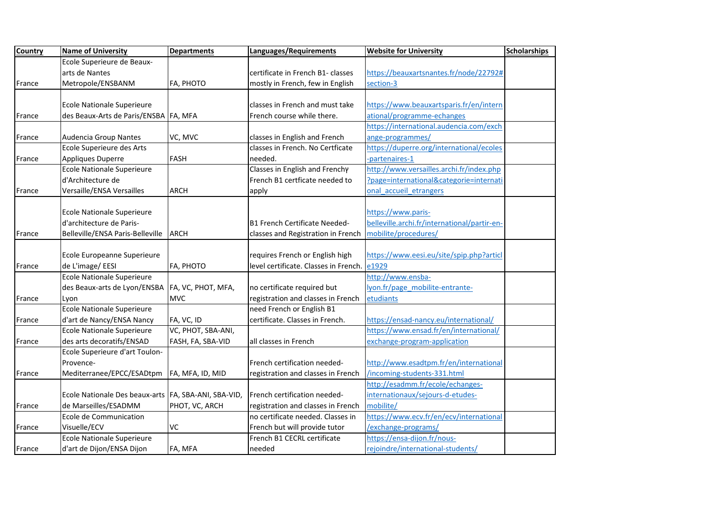| <b>Country</b> | <b>Name of University</b>                            | <b>Departments</b> | Languages/Requirements                | <b>Website for University</b>                | <b>Scholarships</b> |
|----------------|------------------------------------------------------|--------------------|---------------------------------------|----------------------------------------------|---------------------|
|                | Ecole Superieure de Beaux-                           |                    |                                       |                                              |                     |
|                | arts de Nantes                                       |                    | certificate in French B1- classes     | https://beauxartsnantes.fr/node/22792#       |                     |
| France         | Metropole/ENSBANM                                    | FA, PHOTO          | mostly in French, few in English      | section-3                                    |                     |
|                |                                                      |                    |                                       |                                              |                     |
|                | <b>Ecole Nationale Superieure</b>                    |                    | classes in French and must take       | https://www.beauxartsparis.fr/en/intern      |                     |
| France         | des Beaux-Arts de Paris/ENSBA FA, MFA                |                    | French course while there.            | ational/programme-echanges                   |                     |
|                |                                                      |                    |                                       | https://international.audencia.com/exch      |                     |
| France         | Audencia Group Nantes                                | VC, MVC            | classes in English and French         | ange-programmes/                             |                     |
|                | Ecole Superieure des Arts                            |                    | classes in French. No Certficate      | https://duperre.org/international/ecoles     |                     |
| France         | Appliques Duperre                                    | <b>FASH</b>        | needed.                               | -partenaires-1                               |                     |
|                | <b>Ecole Nationale Superieure</b>                    |                    | Classes in English and Frenchy        | http://www.versailles.archi.fr/index.php     |                     |
|                | d'Architecture de                                    |                    | French B1 certficate needed to        | ?page=international&categorie=internati      |                     |
| France         | Versaille/ENSA Versailles                            | <b>ARCH</b>        | apply                                 | onal accueil etrangers                       |                     |
|                |                                                      |                    |                                       |                                              |                     |
|                | <b>Ecole Nationale Superieure</b>                    |                    |                                       | https://www.paris-                           |                     |
|                | d'architecture de Paris-                             |                    | B1 French Certificate Needed-         | belleville.archi.fr/international/partir-en- |                     |
| France         | Belleville/ENSA Paris-Belleville                     | <b>ARCH</b>        | classes and Registration in French    | mobilite/procedures/                         |                     |
|                |                                                      |                    |                                       |                                              |                     |
|                | Ecole Europeanne Superieure                          |                    | requires French or English high       | https://www.eesi.eu/site/spip.php?articl     |                     |
| France         | de L'image/ EESI                                     | FA, PHOTO          | level certificate. Classes in French. | e1929                                        |                     |
|                | <b>Ecole Nationale Superieure</b>                    |                    |                                       | http://www.ensba-                            |                     |
|                | des Beaux-arts de Lyon/ENSBA                         | FA, VC, PHOT, MFA, | no certificate required but           | lyon.fr/page mobilite-entrante-              |                     |
| France         | Lyon                                                 | <b>MVC</b>         | registration and classes in French    | etudiants                                    |                     |
|                | Ecole Nationale Superieure                           |                    | need French or English B1             |                                              |                     |
| France         | d'art de Nancy/ENSA Nancy                            | FA, VC, ID         | certificate. Classes in French.       | https://ensad-nancy.eu/international/        |                     |
|                | Ecole Nationale Superieure                           | VC, PHOT, SBA-ANI, |                                       | https://www.ensad.fr/en/international/       |                     |
| France         | des arts decoratifs/ENSAD                            | FASH, FA, SBA-VID  | all classes in French                 | exchange-program-application                 |                     |
|                | Ecole Superieure d'art Toulon-                       |                    |                                       |                                              |                     |
|                | Provence-                                            |                    | French certification needed-          | http://www.esadtpm.fr/en/international       |                     |
| France         | Mediterranee/EPCC/ESADtpm                            | FA, MFA, ID, MID   | registration and classes in French    | /incoming-students-331.html                  |                     |
|                |                                                      |                    |                                       | http://esadmm.fr/ecole/echanges-             |                     |
|                | Ecole Nationale Des beaux-arts FA, SBA-ANI, SBA-VID, |                    | French certification needed-          | internationaux/sejours-d-etudes-             |                     |
| France         | de Marseilles/ESADMM                                 | PHOT, VC, ARCH     | registration and classes in French    | mobilite/                                    |                     |
|                | Ecole de Communication                               |                    | no certificate needed. Classes in     | https://www.ecv.fr/en/ecv/international      |                     |
| France         | Visuelle/ECV                                         | <b>VC</b>          | French but will provide tutor         | /exchange-programs/                          |                     |
|                | <b>Ecole Nationale Superieure</b>                    |                    | French B1 CECRL certificate           | https://ensa-dijon.fr/nous-                  |                     |
| France         | d'art de Dijon/ENSA Dijon                            | FA, MFA            | needed                                | rejoindre/international-students/            |                     |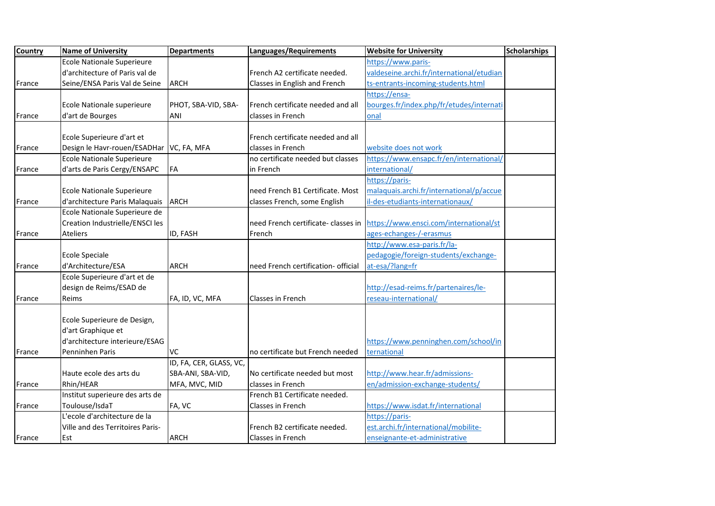| Country | <b>Name of University</b>         | <b>Departments</b>      | Languages/Requirements              | <b>Website for University</b>             | <b>Scholarships</b> |
|---------|-----------------------------------|-------------------------|-------------------------------------|-------------------------------------------|---------------------|
|         | <b>Ecole Nationale Superieure</b> |                         |                                     | https://www.paris-                        |                     |
|         | d'architecture of Paris val de    |                         | French A2 certificate needed.       | valdeseine.archi.fr/international/etudian |                     |
| France  | Seine/ENSA Paris Val de Seine     | <b>ARCH</b>             | Classes in English and French       | ts-entrants-incoming-students.html        |                     |
|         |                                   |                         |                                     | https://ensa-                             |                     |
|         | Ecole Nationale superieure        | PHOT, SBA-VID, SBA-     | French certificate needed and all   | bourges.fr/index.php/fr/etudes/internati  |                     |
| France  | d'art de Bourges                  | ANI                     | classes in French                   | onal                                      |                     |
|         |                                   |                         |                                     |                                           |                     |
|         | Ecole Superieure d'art et         |                         | French certificate needed and all   |                                           |                     |
| France  | Design le Havr-rouen/ESADHar      | VC, FA, MFA             | classes in French                   | website does not work                     |                     |
|         | <b>Ecole Nationale Superieure</b> |                         | no certificate needed but classes   | https://www.ensapc.fr/en/international/   |                     |
| France  | d'arts de Paris Cergy/ENSAPC      | FA                      | in French                           | international/                            |                     |
|         |                                   |                         |                                     | https://paris-                            |                     |
|         | <b>Ecole Nationale Superieure</b> |                         | need French B1 Certificate. Most    | malaquais.archi.fr/international/p/accue  |                     |
| France  | d'architecture Paris Malaquais    | <b>ARCH</b>             | classes French, some English        | il-des-etudiants-internationaux/          |                     |
|         | Ecole Nationale Superieure de     |                         |                                     |                                           |                     |
|         | Creation Industrielle/ENSCI les   |                         | need French certificate- classes in | https://www.ensci.com/international/st    |                     |
| France  | <b>Ateliers</b>                   | ID, FASH                | French                              | ages-echanges-/-erasmus                   |                     |
|         |                                   |                         |                                     | http://www.esa-paris.fr/la-               |                     |
|         | <b>Ecole Speciale</b>             |                         |                                     | pedagogie/foreign-students/exchange-      |                     |
| France  | d'Architecture/ESA                | <b>ARCH</b>             | need French certification- official | at-esa/?lang=fr                           |                     |
|         | Ecole Superieure d'art et de      |                         |                                     |                                           |                     |
|         | design de Reims/ESAD de           |                         |                                     | http://esad-reims.fr/partenaires/le-      |                     |
| France  | Reims                             | FA, ID, VC, MFA         | Classes in French                   | reseau-international/                     |                     |
|         |                                   |                         |                                     |                                           |                     |
|         | Ecole Superieure de Design,       |                         |                                     |                                           |                     |
|         | d'art Graphique et                |                         |                                     |                                           |                     |
|         | d'architecture interieure/ESAG    |                         |                                     | https://www.penninghen.com/school/in      |                     |
| France  | Penninhen Paris                   | VC                      | no certificate but French needed    | ternational                               |                     |
|         |                                   | ID, FA, CER, GLASS, VC, |                                     |                                           |                     |
|         | Haute ecole des arts du           | SBA-ANI, SBA-VID,       | No certificate needed but most      | http://www.hear.fr/admissions-            |                     |
| France  | Rhin/HEAR                         | MFA, MVC, MID           | classes in French                   | en/admission-exchange-students/           |                     |
|         | Institut superieure des arts de   |                         | French B1 Certificate needed.       |                                           |                     |
| France  | Toulouse/IsdaT                    | FA, VC                  | Classes in French                   | https://www.isdat.fr/international        |                     |
|         | L'ecole d'architecture de la      |                         |                                     | https://paris-                            |                     |
|         | Ville and des Territoires Paris-  |                         | French B2 certificate needed.       | est.archi.fr/international/mobilite-      |                     |
| France  | Est                               | <b>ARCH</b>             | Classes in French                   | enseignante-et-administrative             |                     |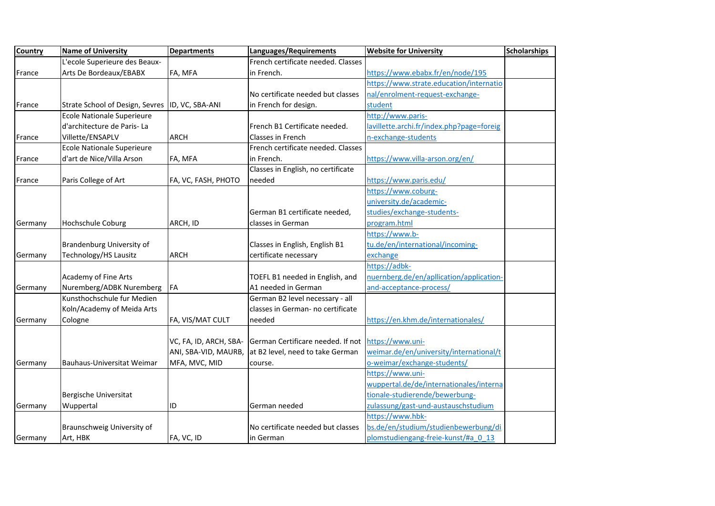| <b>Country</b> | <b>Name of University</b>                       | <b>Departments</b>     | Languages/Requirements             | <b>Website for University</b>             | <b>Scholarships</b> |
|----------------|-------------------------------------------------|------------------------|------------------------------------|-------------------------------------------|---------------------|
|                | L'ecole Superieure des Beaux-                   |                        | French certificate needed. Classes |                                           |                     |
| France         | Arts De Bordeaux/EBABX                          | FA, MFA                | in French.                         | https://www.ebabx.fr/en/node/195          |                     |
|                |                                                 |                        |                                    | https://www.strate.education/internatio   |                     |
|                |                                                 |                        | No certificate needed but classes  | nal/enrolment-request-exchange-           |                     |
| France         | Strate School of Design, Sevres ID, VC, SBA-ANI |                        | in French for design.              | student                                   |                     |
|                | <b>Ecole Nationale Superieure</b>               |                        |                                    | http://www.paris-                         |                     |
|                | d'architecture de Paris-La                      |                        | French B1 Certificate needed.      | lavillette.archi.fr/index.php?page=foreig |                     |
| France         | Villette/ENSAPLV                                | <b>ARCH</b>            | Classes in French                  | n-exchange-students                       |                     |
|                | <b>Ecole Nationale Superieure</b>               |                        | French certificate needed. Classes |                                           |                     |
| France         | d'art de Nice/Villa Arson                       | FA, MFA                | in French.                         | https://www.villa-arson.org/en/           |                     |
|                |                                                 |                        | Classes in English, no certificate |                                           |                     |
| France         | Paris College of Art                            | FA, VC, FASH, PHOTO    | needed                             | https://www.paris.edu/                    |                     |
|                |                                                 |                        |                                    | https://www.coburg-                       |                     |
|                |                                                 |                        |                                    | university.de/academic-                   |                     |
|                |                                                 |                        | German B1 certificate needed,      | studies/exchange-students-                |                     |
| Germany        | <b>Hochschule Coburg</b>                        | ARCH, ID               | classes in German                  | program.html                              |                     |
|                |                                                 |                        |                                    | https://www.b-                            |                     |
|                | Brandenburg University of                       |                        | Classes in English, English B1     | tu.de/en/international/incoming-          |                     |
| Germany        | Technology/HS Lausitz                           | <b>ARCH</b>            | certificate necessary              | exchange                                  |                     |
|                |                                                 |                        |                                    | https://adbk-                             |                     |
|                | Academy of Fine Arts                            |                        | TOEFL B1 needed in English, and    | nuernberg.de/en/apllication/application-  |                     |
| Germany        | Nuremberg/ADBK Nuremberg                        | FA                     | A1 needed in German                | and-acceptance-process/                   |                     |
|                | Kunsthochschule fur Medien                      |                        | German B2 level necessary - all    |                                           |                     |
|                | Koln/Academy of Meida Arts                      |                        | classes in German- no certificate  |                                           |                     |
| Germany        | Cologne                                         | FA, VIS/MAT CULT       | needed                             | https://en.khm.de/internationales/        |                     |
|                |                                                 |                        |                                    |                                           |                     |
|                |                                                 | VC, FA, ID, ARCH, SBA- | German Certificare needed. If not  | https://www.uni-                          |                     |
|                |                                                 | ANI, SBA-VID, MAURB,   | at B2 level, need to take German   | weimar.de/en/university/international/t   |                     |
| Germany        | Bauhaus-Universitat Weimar                      | MFA, MVC, MID          | course.                            | o-weimar/exchange-students/               |                     |
|                |                                                 |                        |                                    | https://www.uni-                          |                     |
|                |                                                 |                        |                                    | wuppertal.de/de/internationales/interna   |                     |
|                | Bergische Universitat                           |                        |                                    | tionale-studierende/bewerbung-            |                     |
| Germany        | Wuppertal                                       | ID                     | German needed                      | zulassung/gast-und-austauschstudium       |                     |
|                |                                                 |                        |                                    | https://www.hbk-                          |                     |
|                | Braunschweig University of                      |                        | No certificate needed but classes  | bs.de/en/studium/studienbewerbung/di      |                     |
| Germany        | Art, HBK                                        | FA, VC, ID             | lin German                         | plomstudiengang-freie-kunst/#a 0 13       |                     |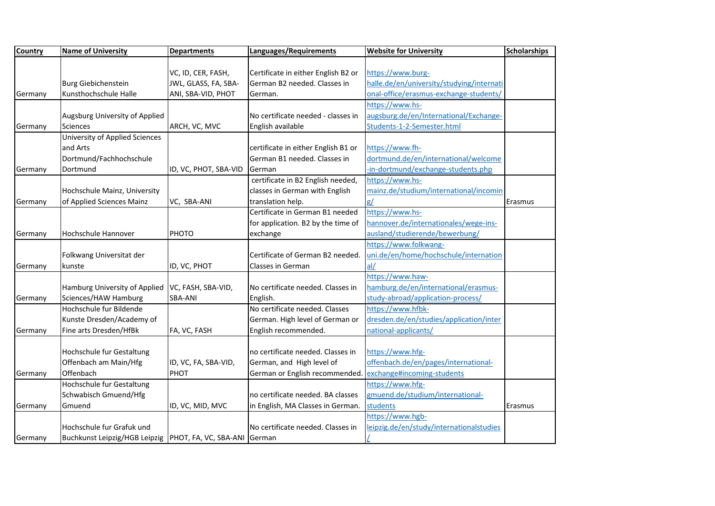| <b>Country</b> | <b>Name of University</b>                                    | <b>Departments</b>    | Languages/Requirements              | <b>Website for University</b>             | <b>Scholarships</b> |
|----------------|--------------------------------------------------------------|-----------------------|-------------------------------------|-------------------------------------------|---------------------|
|                |                                                              |                       |                                     |                                           |                     |
|                |                                                              | VC, ID, CER, FASH,    | Certificate in either English B2 or | https://www.burg-                         |                     |
|                | <b>Burg Giebichenstein</b>                                   | JWL, GLASS, FA, SBA-  | German B2 needed. Classes in        | halle.de/en/university/studying/internati |                     |
| Germany        | Kunsthochschule Halle                                        | ANI, SBA-VID, PHOT    | German.                             | onal-office/erasmus-exchange-students/    |                     |
|                |                                                              |                       |                                     | https://www.hs-                           |                     |
|                | Augsburg University of Applied                               |                       | No certificate needed - classes in  | augsburg.de/en/International/Exchange-    |                     |
| Germany        | Sciences                                                     | ARCH, VC, MVC         | English available                   | Students-1-2-Semester.html                |                     |
|                | University of Applied Sciences                               |                       |                                     |                                           |                     |
|                | and Arts                                                     |                       | certificate in either English B1 or | https://www.fh-                           |                     |
|                | Dortmund/Fachhochschule                                      |                       | German B1 needed. Classes in        | dortmund.de/en/international/welcome      |                     |
| Germany        | Dortmund                                                     | ID, VC, PHOT, SBA-VID | German                              | in-dortmund/exchange-students.php         |                     |
|                |                                                              |                       | certificate in B2 English needed,   | https://www.hs-                           |                     |
|                | Hochschule Mainz, University                                 |                       | classes in German with English      | mainz.de/studium/international/incomin    |                     |
| Germany        | of Applied Sciences Mainz                                    | VC, SBA-ANI           | translation help.                   | g/                                        | Erasmus             |
|                |                                                              |                       | Certificate in German B1 needed     | https://www.hs-                           |                     |
|                |                                                              |                       | for application. B2 by the time of  | hannover.de/internationales/wege-ins-     |                     |
| Germany        | Hochschule Hannover                                          | PHOTO                 | exchange                            | ausland/studierende/bewerbung/            |                     |
|                |                                                              |                       |                                     | https://www.folkwang-                     |                     |
|                | Folkwang Universitat der                                     |                       | Certificate of German B2 needed.    | uni.de/en/home/hochschule/internation     |                     |
| Germany        | kunste                                                       | ID, VC, PHOT          | Classes in German                   | al/                                       |                     |
|                |                                                              |                       |                                     | https://www.haw-                          |                     |
|                | Hamburg University of Applied                                | VC, FASH, SBA-VID,    | No certificate needed. Classes in   | hamburg.de/en/international/erasmus-      |                     |
| Germany        | Sciences/HAW Hamburg                                         | <b>SBA-ANI</b>        | English.                            | study-abroad/application-process/         |                     |
|                | Hochschule fur Bildende                                      |                       | No certificate needed. Classes      | https://www.hfbk-                         |                     |
|                | Kunste Dresden/Academy of                                    |                       | German. High level of German or     | dresden.de/en/studies/application/inter   |                     |
| Germany        | Fine arts Dresden/HfBk                                       | FA, VC, FASH          | English recommended.                | national-applicants/                      |                     |
|                |                                                              |                       |                                     |                                           |                     |
|                | Hochschule fur Gestaltung                                    |                       | no certificate needed. Classes in   | https://www.hfg-                          |                     |
|                | Offenbach am Main/Hfg                                        | ID, VC, FA, SBA-VID,  | German, and High level of           | offenbach.de/en/pages/international-      |                     |
| Germany        | Offenbach                                                    | PHOT                  | German or English recommended       | exchange#incoming-students                |                     |
|                | Hochschule fur Gestaltung                                    |                       |                                     | https://www.hfg-                          |                     |
|                | Schwabisch Gmuend/Hfg                                        |                       | no certificate needed. BA classes   | gmuend.de/studium/international-          |                     |
| Germany        | Gmuend                                                       | ID, VC, MID, MVC      | in English, MA Classes in German.   | students                                  | Erasmus             |
|                |                                                              |                       |                                     | https://www.hgb-                          |                     |
|                | Hochschule fur Grafuk und                                    |                       | No certificate needed. Classes in   | leipzig.de/en/study/internationalstudies  |                     |
| Germany        | Buchkunst Leipzig/HGB Leipzig   PHOT, FA, VC, SBA-ANI German |                       |                                     |                                           |                     |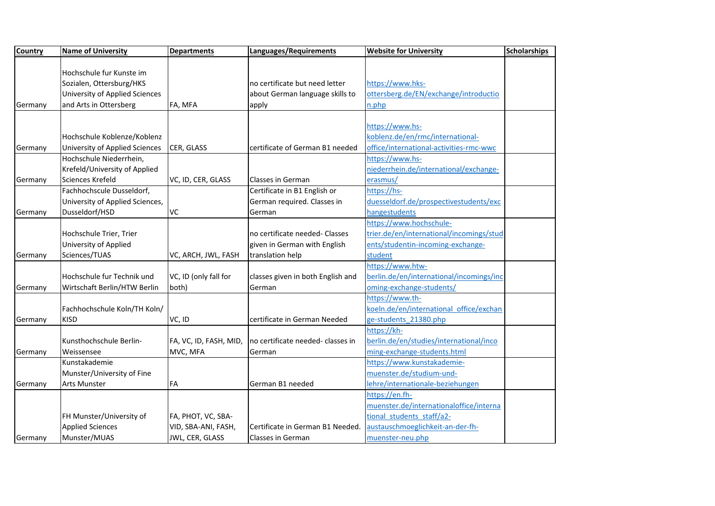| <b>Country</b> | <b>Name of University</b>             | <b>Departments</b>     | Languages/Requirements            | <b>Website for University</b>            | <b>Scholarships</b> |
|----------------|---------------------------------------|------------------------|-----------------------------------|------------------------------------------|---------------------|
|                |                                       |                        |                                   |                                          |                     |
|                | Hochschule fur Kunste im              |                        |                                   |                                          |                     |
|                | Sozialen, Ottersburg/HKS              |                        | no certificate but need letter    | https://www.hks-                         |                     |
|                | <b>University of Applied Sciences</b> |                        | about German language skills to   | ottersberg.de/EN/exchange/introductio    |                     |
| Germany        | and Arts in Ottersberg                | FA, MFA                | apply                             | n.php                                    |                     |
|                |                                       |                        |                                   |                                          |                     |
|                |                                       |                        |                                   | https://www.hs-                          |                     |
|                | Hochschule Koblenze/Koblenz           |                        |                                   | koblenz.de/en/rmc/international-         |                     |
| Germany        | <b>University of Applied Sciences</b> | CER, GLASS             | certificate of German B1 needed   | office/international-activities-rmc-wwc  |                     |
|                | Hochschule Niederrhein,               |                        |                                   | https://www.hs-                          |                     |
|                | Krefeld/University of Applied         |                        |                                   | niederrhein.de/international/exchange-   |                     |
| Germany        | Sciences Krefeld                      | VC, ID, CER, GLASS     | <b>Classes in German</b>          | erasmus/                                 |                     |
|                | Fachhochscule Dusseldorf,             |                        | Certificate in B1 English or      | https://hs-                              |                     |
|                | University of Applied Sciences,       |                        | German required. Classes in       | duesseldorf.de/prospectivestudents/exc   |                     |
| Germany        | Dusseldorf/HSD                        | <b>VC</b>              | German                            | hangestudents                            |                     |
|                |                                       |                        |                                   | https://www.hochschule-                  |                     |
|                | Hochschule Trier, Trier               |                        | no certificate needed- Classes    | trier.de/en/international/incomings/stud |                     |
|                | University of Applied                 |                        | given in German with English      | ents/studentin-incoming-exchange-        |                     |
| Germany        | Sciences/TUAS                         | VC, ARCH, JWL, FASH    | translation help                  | student                                  |                     |
|                |                                       |                        |                                   | https://www.htw-                         |                     |
|                | Hochschule fur Technik und            | VC, ID (only fall for  | classes given in both English and | berlin.de/en/international/incomings/inc |                     |
| Germany        | Wirtschaft Berlin/HTW Berlin          | both)                  | German                            | oming-exchange-students/                 |                     |
|                |                                       |                        |                                   | https://www.th-                          |                     |
|                | Fachhochschule Koln/TH Koln/          |                        |                                   | koeln.de/en/international office/exchan  |                     |
| Germany        | <b>KISD</b>                           | VC, ID                 | certificate in German Needed      | ge-students 21380.php                    |                     |
|                |                                       |                        |                                   | https://kh-                              |                     |
|                | Kunsthochschule Berlin-               | FA, VC, ID, FASH, MID, | no certificate needed- classes in | berlin.de/en/studies/international/inco  |                     |
| Germany        | Weissensee                            | MVC, MFA               | German                            | ming-exchange-students.html              |                     |
|                | Kunstakademie                         |                        |                                   | https://www.kunstakademie-               |                     |
|                | Munster/University of Fine            |                        |                                   | muenster.de/studium-und-                 |                     |
| Germany        | <b>Arts Munster</b>                   | FA                     | German B1 needed                  | lehre/internationale-beziehungen         |                     |
|                |                                       |                        |                                   | https://en.fh-                           |                     |
|                |                                       |                        |                                   | muenster.de/internationaloffice/interna  |                     |
|                | FH Munster/University of              | FA, PHOT, VC, SBA-     |                                   | tional students staff/a2-                |                     |
|                | <b>Applied Sciences</b>               | VID, SBA-ANI, FASH,    | Certificate in German B1 Needed.  | austauschmoeglichkeit-an-der-fh-         |                     |
| Germany        | Munster/MUAS                          | JWL, CER, GLASS        | Classes in German                 | muenster-neu.php                         |                     |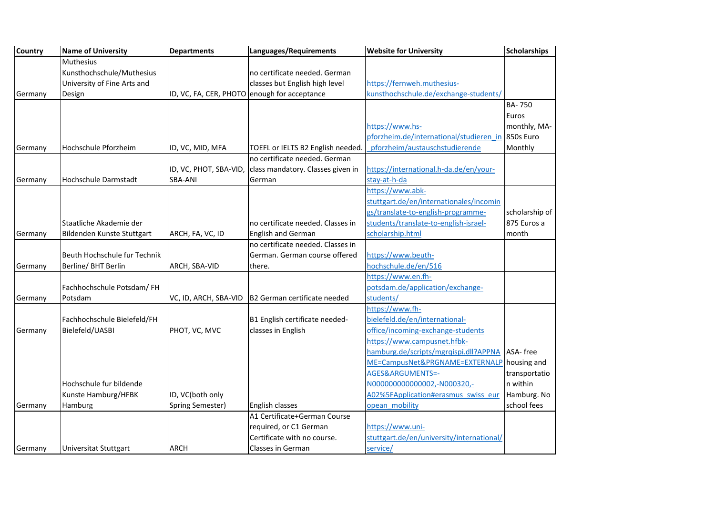| <b>Country</b> | <b>Name of University</b>    | <b>Departments</b>     | Languages/Requirements                       | <b>Website for University</b>                     | <b>Scholarships</b> |
|----------------|------------------------------|------------------------|----------------------------------------------|---------------------------------------------------|---------------------|
|                | Muthesius                    |                        |                                              |                                                   |                     |
|                | Kunsthochschule/Muthesius    |                        | no certificate needed. German                |                                                   |                     |
|                | University of Fine Arts and  |                        | classes but English high level               | https://fernweh.muthesius-                        |                     |
| Germany        | Design                       |                        | ID, VC, FA, CER, PHOTO enough for acceptance | kunsthochschule.de/exchange-students/             |                     |
|                |                              |                        |                                              |                                                   | <b>BA-750</b>       |
|                |                              |                        |                                              |                                                   | Euros               |
|                |                              |                        |                                              | https://www.hs-                                   | monthly, MA-        |
|                |                              |                        |                                              | pforzheim.de/international/studieren in 850s Euro |                     |
| Germany        | Hochschule Pforzheim         | ID, VC, MID, MFA       | TOEFL or IELTS B2 English needed.            | pforzheim/austauschstudierende                    | Monthly             |
|                |                              |                        | no certificate needed. German                |                                                   |                     |
|                |                              | ID, VC, PHOT, SBA-VID, | class mandatory. Classes given in            | https://international.h-da.de/en/your-            |                     |
| Germany        | Hochschule Darmstadt         | <b>SBA-ANI</b>         | German                                       | stay-at-h-da                                      |                     |
|                |                              |                        |                                              | https://www.abk-                                  |                     |
|                |                              |                        |                                              | stuttgart.de/en/internationales/incomin           |                     |
|                |                              |                        |                                              | gs/translate-to-english-programme-                | scholarship of      |
|                | Staatliche Akademie der      |                        | no certificate needed. Classes in            | students/translate-to-english-israel-             | 875 Euros a         |
| Germany        | Bildenden Kunste Stuttgart   | ARCH, FA, VC, ID       | <b>English and German</b>                    | scholarship.html                                  | month               |
|                |                              |                        | no certificate needed. Classes in            |                                                   |                     |
|                | Beuth Hochschule fur Technik |                        | German. German course offered                | https://www.beuth-                                |                     |
| Germany        | Berline/ BHT Berlin          | ARCH, SBA-VID          | there.                                       | hochschule.de/en/516                              |                     |
|                |                              |                        |                                              | https://www.en.fh-                                |                     |
|                | Fachhochschule Potsdam/FH    |                        |                                              | potsdam.de/application/exchange-                  |                     |
| Germany        | Potsdam                      | VC, ID, ARCH, SBA-VID  | B2 German certificate needed                 | students/                                         |                     |
|                |                              |                        |                                              | https://www.fh-                                   |                     |
|                | Fachhochschule Bielefeld/FH  |                        | B1 English certificate needed-               | bielefeld.de/en/international-                    |                     |
| Germany        | Bielefeld/UASBI              | PHOT, VC, MVC          | classes in English                           | office/incoming-exchange-students                 |                     |
|                |                              |                        |                                              | https://www.campusnet.hfbk-                       |                     |
|                |                              |                        |                                              | hamburg.de/scripts/mgrqispi.dll?APPNA ASA-free    |                     |
|                |                              |                        |                                              | ME=CampusNet&PRGNAME=EXTERNALP                    | housing and         |
|                |                              |                        |                                              | AGES&ARGUMENTS=-                                  | transportatio       |
|                | Hochschule fur bildende      |                        |                                              | N000000000000002,-N000320,-                       | n within            |
|                | Kunste Hamburg/HFBK          | ID, VC(both only       |                                              | A02%5FApplication#erasmus swiss eur               | Hamburg. No         |
| Germany        | Hamburg                      | Spring Semester)       | English classes                              | opean mobility                                    | school fees         |
|                |                              |                        | A1 Certificate+German Course                 |                                                   |                     |
|                |                              |                        | required, or C1 German                       | https://www.uni-                                  |                     |
|                |                              |                        | Certificate with no course.                  | stuttgart.de/en/university/international/         |                     |
| Germany        | Universitat Stuttgart        | <b>ARCH</b>            | Classes in German                            | service/                                          |                     |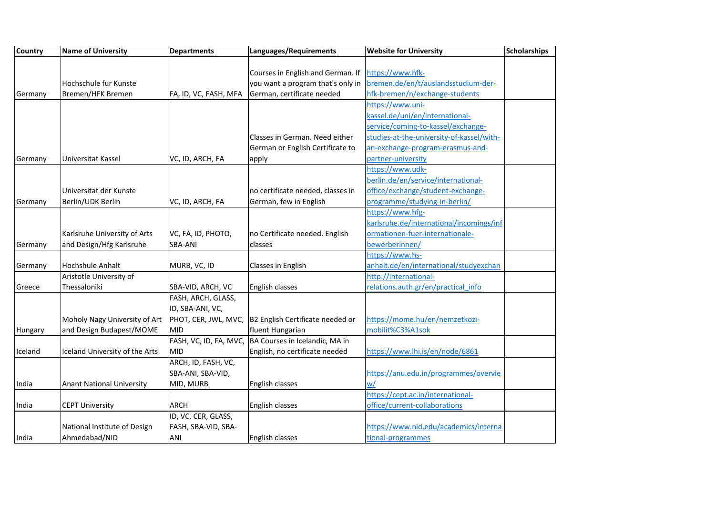| <b>Country</b> | <b>Name of University</b>        | <b>Departments</b>     | Languages/Requirements            | <b>Website for University</b>             | <b>Scholarships</b> |
|----------------|----------------------------------|------------------------|-----------------------------------|-------------------------------------------|---------------------|
|                |                                  |                        |                                   |                                           |                     |
|                |                                  |                        | Courses in English and German. If | https://www.hfk-                          |                     |
|                | Hochschule fur Kunste            |                        | you want a program that's only in | bremen.de/en/t/auslandsstudium-der-       |                     |
| Germany        | Bremen/HFK Bremen                | FA, ID, VC, FASH, MFA  | German, certificate needed        | hfk-bremen/n/exchange-students            |                     |
|                |                                  |                        |                                   | https://www.uni-                          |                     |
|                |                                  |                        |                                   | kassel.de/uni/en/international-           |                     |
|                |                                  |                        |                                   | service/coming-to-kassel/exchange-        |                     |
|                |                                  |                        | Classes in German. Need either    | studies-at-the-university-of-kassel/with- |                     |
|                |                                  |                        | German or English Certificate to  | an-exchange-program-erasmus-and-          |                     |
| Germany        | Universitat Kassel               | VC, ID, ARCH, FA       | apply                             | partner-university                        |                     |
|                |                                  |                        |                                   | https://www.udk-                          |                     |
|                |                                  |                        |                                   | berlin.de/en/service/international-       |                     |
|                | Universitat der Kunste           |                        | no certificate needed, classes in | office/exchange/student-exchange-         |                     |
| Germany        | Berlin/UDK Berlin                | VC, ID, ARCH, FA       | German, few in English            | programme/studying-in-berlin/             |                     |
|                |                                  |                        |                                   | https://www.hfg-                          |                     |
|                |                                  |                        |                                   | karlsruhe.de/international/incomings/inf  |                     |
|                | Karlsruhe University of Arts     | VC, FA, ID, PHOTO,     | no Certificate needed. English    | ormationen-fuer-internationale-           |                     |
| Germany        | and Design/Hfg Karlsruhe         | <b>SBA-ANI</b>         | classes                           | bewerberinnen/                            |                     |
|                |                                  |                        |                                   | https://www.hs-                           |                     |
| Germany        | Hochshule Anhalt                 | MURB, VC, ID           | Classes in English                | anhalt.de/en/international/studyexchan    |                     |
|                | Aristotle University of          |                        |                                   | http://international-                     |                     |
| Greece         | Thessaloniki                     | SBA-VID, ARCH, VC      | English classes                   | relations.auth.gr/en/practical info       |                     |
|                |                                  | FASH, ARCH, GLASS,     |                                   |                                           |                     |
|                |                                  | ID, SBA-ANI, VC,       |                                   |                                           |                     |
|                | Moholy Nagy University of Art    | PHOT, CER, JWL, MVC,   | B2 English Certificate needed or  | https://mome.hu/en/nemzetkozi-            |                     |
| Hungary        | and Design Budapest/MOME         | <b>MID</b>             | fluent Hungarian                  | mobilit%C3%A1sok                          |                     |
|                |                                  | FASH, VC, ID, FA, MVC, | BA Courses in Icelandic, MA in    |                                           |                     |
| Iceland        | Iceland University of the Arts   | <b>MID</b>             | English, no certificate needed    | https://www.lhi.is/en/node/6861           |                     |
|                |                                  | ARCH, ID, FASH, VC,    |                                   |                                           |                     |
|                |                                  | SBA-ANI, SBA-VID,      |                                   | https://anu.edu.in/programmes/overvie     |                     |
| India          | <b>Anant National University</b> | MID, MURB              | English classes                   | w/                                        |                     |
|                |                                  |                        |                                   | https://cept.ac.in/international-         |                     |
| India          | <b>CEPT University</b>           | <b>ARCH</b>            | English classes                   | office/current-collaborations             |                     |
|                |                                  | ID, VC, CER, GLASS,    |                                   |                                           |                     |
|                | National Institute of Design     | FASH, SBA-VID, SBA-    |                                   | https://www.nid.edu/academics/interna     |                     |
| India          | Ahmedabad/NID                    | ANI                    | English classes                   | tional-programmes                         |                     |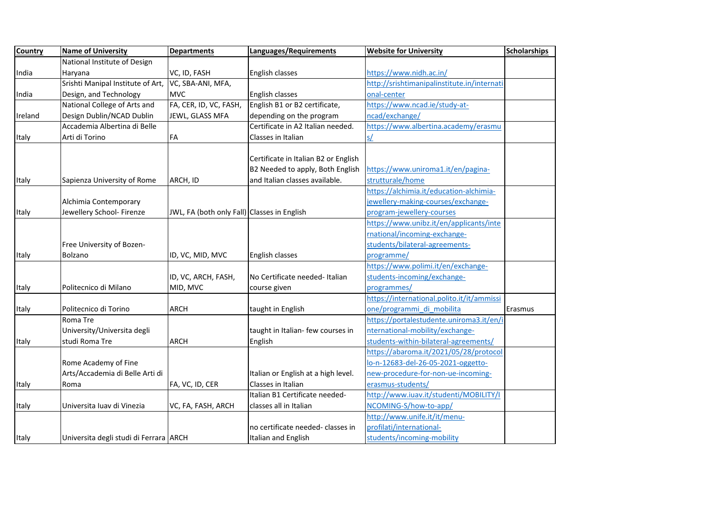| <b>Country</b> | <b>Name of University</b>              | <b>Departments</b>                          | Languages/Requirements               | <b>Website for University</b>               | <b>Scholarships</b> |
|----------------|----------------------------------------|---------------------------------------------|--------------------------------------|---------------------------------------------|---------------------|
|                | National Institute of Design           |                                             |                                      |                                             |                     |
| India          | Haryana                                | VC, ID, FASH                                | English classes                      | https://www.nidh.ac.in/                     |                     |
|                | Srishti Manipal Institute of Art,      | VC, SBA-ANI, MFA,                           |                                      | http://srishtimanipalinstitute.in/internati |                     |
| India          | Design, and Technology                 | <b>MVC</b>                                  | English classes                      | onal-center                                 |                     |
|                | National College of Arts and           | FA, CER, ID, VC, FASH,                      | English B1 or B2 certificate,        | https://www.ncad.ie/study-at-               |                     |
| Ireland        | Design Dublin/NCAD Dublin              | JEWL, GLASS MFA                             | depending on the program             | ncad/exchange/                              |                     |
|                | Accademia Albertina di Belle           |                                             | Certificate in A2 Italian needed.    | https://www.albertina.academy/erasmu        |                     |
| Italy          | Arti di Torino                         | FA                                          | Classes in Italian                   | s/                                          |                     |
|                |                                        |                                             |                                      |                                             |                     |
|                |                                        |                                             | Certificate in Italian B2 or English |                                             |                     |
|                |                                        |                                             | B2 Needed to apply, Both English     | https://www.uniroma1.it/en/pagina-          |                     |
| Italy          | Sapienza University of Rome            | ARCH, ID                                    | and Italian classes available.       | strutturale/home                            |                     |
|                |                                        |                                             |                                      | https://alchimia.it/education-alchimia-     |                     |
|                | Alchimia Contemporary                  |                                             |                                      | jewellery-making-courses/exchange-          |                     |
| Italy          | Jewellery School- Firenze              | JWL, FA (both only Fall) Classes in English |                                      | program-jewellery-courses                   |                     |
|                |                                        |                                             |                                      | https://www.unibz.it/en/applicants/inte     |                     |
|                |                                        |                                             |                                      | rnational/incoming-exchange-                |                     |
|                | Free University of Bozen-              |                                             |                                      | students/bilateral-agreements-              |                     |
| Italy          | Bolzano                                | ID, VC, MID, MVC                            | English classes                      | programme/                                  |                     |
|                |                                        |                                             |                                      | https://www.polimi.it/en/exchange-          |                     |
|                |                                        | ID, VC, ARCH, FASH,                         | No Certificate needed- Italian       | students-incoming/exchange-                 |                     |
| Italy          | Politecnico di Milano                  | MID, MVC                                    | course given                         | programmes/                                 |                     |
|                |                                        |                                             |                                      | https://international.polito.it/it/ammissi  |                     |
| Italy          | Politecnico di Torino                  | <b>ARCH</b>                                 | taught in English                    | one/programmi di mobilita                   | Erasmus             |
|                | Roma Tre                               |                                             |                                      | https://portalestudente.uniroma3.it/en/i    |                     |
|                | University/Universita degli            |                                             | taught in Italian- few courses in    | nternational-mobility/exchange-             |                     |
| Italy          | studi Roma Tre                         | <b>ARCH</b>                                 | English                              | students-within-bilateral-agreements/       |                     |
|                |                                        |                                             |                                      | https://abaroma.it/2021/05/28/protocol      |                     |
|                | Rome Academy of Fine                   |                                             |                                      | lo-n-12683-del-26-05-2021-oggetto-          |                     |
|                | Arts/Accademia di Belle Arti di        |                                             | Italian or English at a high level.  | new-procedure-for-non-ue-incoming-          |                     |
| Italy          | Roma                                   | FA, VC, ID, CER                             | Classes in Italian                   | erasmus-students/                           |                     |
|                |                                        |                                             | Italian B1 Certificate needed-       | http://www.iuav.it/studenti/MOBILITY/I      |                     |
| Italy          | Universita luav di Vinezia             | VC, FA, FASH, ARCH                          | classes all in Italian               | NCOMING-S/how-to-app/                       |                     |
|                |                                        |                                             |                                      | http://www.unife.it/it/menu-                |                     |
|                |                                        |                                             | no certificate needed- classes in    | profilati/international-                    |                     |
| Italy          | Universita degli studi di Ferrara ARCH |                                             | Italian and English                  | students/incoming-mobility                  |                     |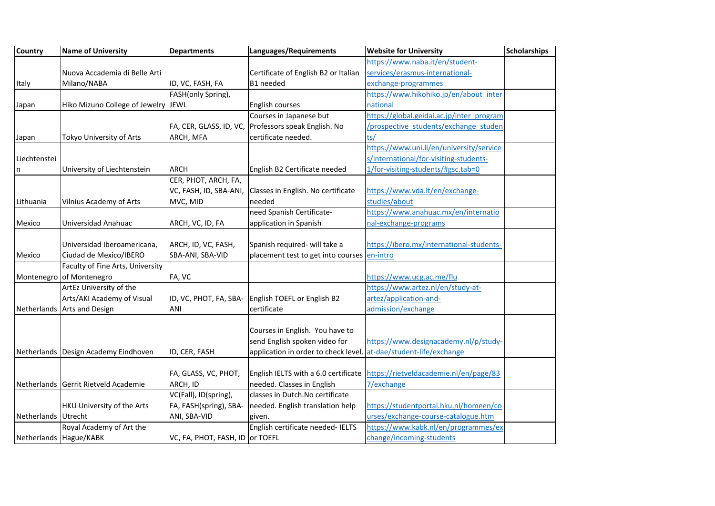| <b>Country</b>      | <b>Name of University</b>            | <b>Departments</b>              | Languages/Requirements               | <b>Website for University</b>             | <b>Scholarships</b> |
|---------------------|--------------------------------------|---------------------------------|--------------------------------------|-------------------------------------------|---------------------|
|                     |                                      |                                 |                                      | https://www.naba.it/en/student-           |                     |
|                     | Nuova Accademia di Belle Arti        |                                 | Certificate of English B2 or Italian | services/erasmus-international-           |                     |
| Italy               | Milano/NABA                          | ID, VC, FASH, FA                | B1 needed                            | exchange-programmes                       |                     |
|                     |                                      | FASH(only Spring),              |                                      | https://www.hikohiko.jp/en/about inter    |                     |
| Japan               | Hiko Mizuno College of Jewelry JEWL  |                                 | English courses                      | national                                  |                     |
|                     |                                      |                                 | Courses in Japanese but              | https://global.geidai.ac.jp/inter program |                     |
|                     |                                      | FA, CER, GLASS, ID, VC,         | Professors speak English. No         | /prospective students/exchange studen     |                     |
| Japan               | Tokyo University of Arts             | ARCH, MFA                       | certificate needed.                  | ts/                                       |                     |
|                     |                                      |                                 |                                      | https://www.uni.li/en/university/service  |                     |
| Liechtenstei        |                                      |                                 |                                      | s/international/for-visiting-students-    |                     |
| n                   | University of Liechtenstein          | <b>ARCH</b>                     | English B2 Certificate needed        | 1/for-visiting-students/#gsc.tab=0        |                     |
|                     |                                      | CER, PHOT, ARCH, FA,            |                                      |                                           |                     |
|                     |                                      | VC, FASH, ID, SBA-ANI,          | Classes in English. No certificate   | https://www.vda.lt/en/exchange-           |                     |
| Lithuania           | <b>Vilnius Academy of Arts</b>       | MVC, MID                        | needed                               | studies/about                             |                     |
|                     |                                      |                                 | need Spanish Certificate-            | https://www.anahuac.mx/en/internatio      |                     |
| Mexico              | Universidad Anahuac                  | ARCH, VC, ID, FA                | application in Spanish               | nal-exchange-programs                     |                     |
|                     |                                      |                                 |                                      |                                           |                     |
|                     | Universidad Iberoamericana,          | ARCH, ID, VC, FASH,             | Spanish required- will take a        | https://ibero.mx/international-students-  |                     |
| Mexico              | Ciudad de Mexico/IBERO               | SBA-ANI, SBA-VID                | placement test to get into courses   | en-intro                                  |                     |
|                     | Faculty of Fine Arts, University     |                                 |                                      |                                           |                     |
|                     | Montenegro of Montenegro             | FA, VC                          |                                      | https://www.ucg.ac.me/flu                 |                     |
|                     | ArtEz University of the              |                                 |                                      | https://www.artez.nl/en/study-at-         |                     |
|                     | Arts/AKI Academy of Visual           | ID, VC, PHOT, FA, SBA-          | English TOEFL or English B2          | artez/application-and-                    |                     |
|                     | Netherlands Arts and Design          | ANI                             | certificate                          | admission/exchange                        |                     |
|                     |                                      |                                 |                                      |                                           |                     |
|                     |                                      |                                 | Courses in English. You have to      |                                           |                     |
|                     |                                      |                                 | send English spoken video for        | https://www.designacademy.nl/p/study-     |                     |
|                     | Netherlands Design Academy Eindhoven | ID, CER, FASH                   | application in order to check level  | at-dae/student-life/exchange              |                     |
|                     |                                      |                                 |                                      |                                           |                     |
|                     |                                      | FA, GLASS, VC, PHOT,            | English IELTS with a 6.0 certificate | https://rietveldacademie.nl/en/page/83    |                     |
|                     | Netherlands Gerrit Rietveld Academie | ARCH, ID                        | needed. Classes in English           | 7/exchange                                |                     |
|                     |                                      | VC(Fall), ID(spring),           | classes in Dutch. No certificate     |                                           |                     |
|                     | <b>HKU University of the Arts</b>    | FA, FASH(spring), SBA-          | needed. English translation help     | https://studentportal.hku.nl/homeen/co    |                     |
| Netherlands Utrecht |                                      | ANI, SBA-VID                    | given.                               | urses/exchange-course-catalogue.htm       |                     |
|                     | Royal Academy of Art the             |                                 | English certificate needed- IELTS    | https://www.kabk.nl/en/programmes/ex      |                     |
|                     | Netherlands Hague/KABK               | VC, FA, PHOT, FASH, ID or TOEFL |                                      | change/incoming-students                  |                     |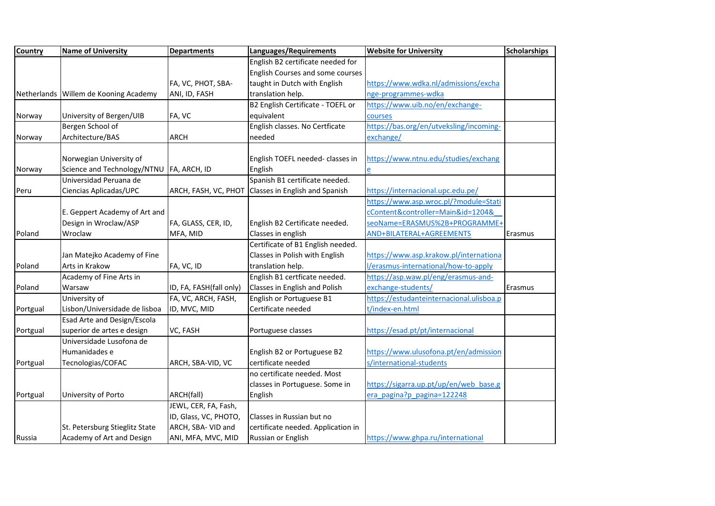| <b>Country</b> | <b>Name of University</b>                  | <b>Departments</b>      | Languages/Requirements             | <b>Website for University</b>            | <b>Scholarships</b> |
|----------------|--------------------------------------------|-------------------------|------------------------------------|------------------------------------------|---------------------|
|                |                                            |                         | English B2 certificate needed for  |                                          |                     |
|                |                                            |                         | English Courses and some courses   |                                          |                     |
|                |                                            | FA, VC, PHOT, SBA-      | taught in Dutch with English       | https://www.wdka.nl/admissions/excha     |                     |
|                | Netherlands Willem de Kooning Academy      | ANI, ID, FASH           | translation help.                  | nge-programmes-wdka                      |                     |
|                |                                            |                         | B2 English Certificate - TOEFL or  | https://www.uib.no/en/exchange-          |                     |
| Norway         | University of Bergen/UIB                   | FA, VC                  | equivalent                         | courses                                  |                     |
|                | Bergen School of                           |                         | English classes. No Certficate     | https://bas.org/en/utveksling/incoming-  |                     |
| Norway         | Architecture/BAS                           | <b>ARCH</b>             | needed                             | exchange/                                |                     |
|                |                                            |                         |                                    |                                          |                     |
|                | Norwegian University of                    |                         | English TOEFL needed- classes in   | https://www.ntnu.edu/studies/exchang     |                     |
| Norway         | Science and Technology/NTNU   FA, ARCH, ID |                         | English                            |                                          |                     |
|                | Universidad Peruana de                     |                         | Spanish B1 certificate needed.     |                                          |                     |
| Peru           | Ciencias Aplicadas/UPC                     | ARCH, FASH, VC, PHOT    | Classes in English and Spanish     | https://internacional.upc.edu.pe/        |                     |
|                |                                            |                         |                                    | https://www.asp.wroc.pl/?module=Stati    |                     |
|                | E. Geppert Academy of Art and              |                         |                                    | cContent&controller=Main&id=1204&        |                     |
|                | Design in Wroclaw/ASP                      | FA, GLASS, CER, ID,     | English B2 Certificate needed.     | seoName=ERASMUS%2B+PROGRAMME+            |                     |
| Poland         | Wroclaw                                    | MFA, MID                | Classes in english                 | AND+BILATERAL+AGREEMENTS                 | Erasmus             |
|                |                                            |                         | Certificate of B1 English needed.  |                                          |                     |
|                | Jan Matejko Academy of Fine                |                         | Classes in Polish with English     | https://www.asp.krakow.pl/internationa   |                     |
| Poland         | Arts in Krakow                             | FA, VC, ID              | translation help.                  | l/erasmus-international/how-to-apply     |                     |
|                | Academy of Fine Arts in                    |                         | English B1 certficate needed.      | https://asp.waw.pl/eng/erasmus-and-      |                     |
| Poland         | Warsaw                                     | ID, FA, FASH(fall only) | Classes in English and Polish      | exchange-students/                       | Erasmus             |
|                | University of                              | FA, VC, ARCH, FASH,     | English or Portuguese B1           | https://estudanteinternacional.ulisboa.p |                     |
| Portgual       | Lisbon/Universidade de lisboa              | ID, MVC, MID            | Certificate needed                 | t/index-en.html                          |                     |
|                | Esad Arte and Design/Escola                |                         |                                    |                                          |                     |
| Portgual       | superior de artes e design                 | VC, FASH                | Portuguese classes                 | https://esad.pt/pt/internacional         |                     |
|                | Universidade Lusofona de                   |                         |                                    |                                          |                     |
|                | Humanidades e                              |                         | English B2 or Portuguese B2        | https://www.ulusofona.pt/en/admission    |                     |
| Portgual       | Tecnologias/COFAC                          | ARCH, SBA-VID, VC       | certificate needed                 | s/international-students                 |                     |
|                |                                            |                         | no certificate needed. Most        |                                          |                     |
|                |                                            |                         | classes in Portuguese. Some in     | https://sigarra.up.pt/up/en/web base.g   |                     |
| Portgual       | University of Porto                        | ARCH(fall)              | English                            | era pagina?p pagina=122248               |                     |
|                |                                            | JEWL, CER, FA, Fash,    |                                    |                                          |                     |
|                |                                            | ID, Glass, VC, PHOTO,   | Classes in Russian but no          |                                          |                     |
|                | St. Petersburg Stieglitz State             | ARCH, SBA- VID and      | certificate needed. Application in |                                          |                     |
| Russia         | Academy of Art and Design                  | ANI, MFA, MVC, MID      | Russian or English                 | https://www.ghpa.ru/international        |                     |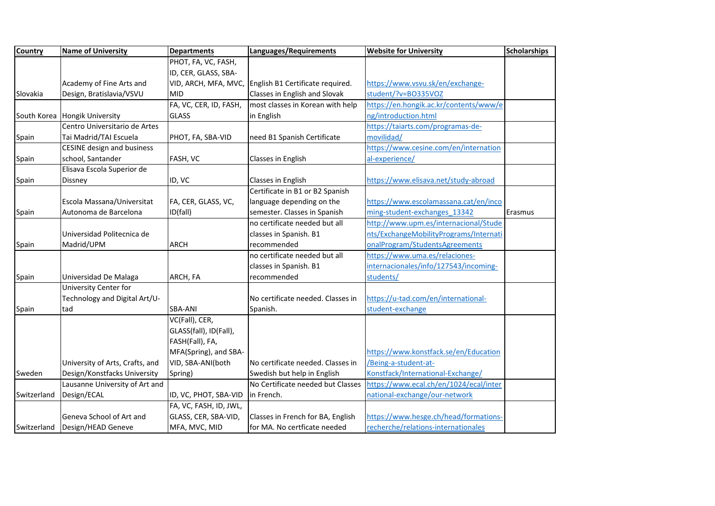| <b>Country</b> | <b>Name of University</b>         | <b>Departments</b>     | Languages/Requirements            | <b>Website for University</b>          | <b>Scholarships</b> |
|----------------|-----------------------------------|------------------------|-----------------------------------|----------------------------------------|---------------------|
|                |                                   | PHOT, FA, VC, FASH,    |                                   |                                        |                     |
|                |                                   | ID, CER, GLASS, SBA-   |                                   |                                        |                     |
|                | Academy of Fine Arts and          | VID, ARCH, MFA, MVC,   | English B1 Certificate required.  | https://www.vsvu.sk/en/exchange-       |                     |
| Slovakia       | Design, Bratislavia/VSVU          | <b>MID</b>             | Classes in English and Slovak     | student/?v=BO335VOZ                    |                     |
|                |                                   | FA, VC, CER, ID, FASH, | most classes in Korean with help  | https://en.hongik.ac.kr/contents/www/e |                     |
|                | South Korea Hongik University     | <b>GLASS</b>           | in English                        | ng/introduction.html                   |                     |
|                | Centro Universitario de Artes     |                        |                                   | https://taiarts.com/programas-de-      |                     |
| Spain          | Tai Madrid/TAI Escuela            | PHOT, FA, SBA-VID      | need B1 Spanish Certificate       | movilidad/                             |                     |
|                | <b>CESINE design and business</b> |                        |                                   | https://www.cesine.com/en/internation  |                     |
| Spain          | school, Santander                 | FASH, VC               | Classes in English                | al-experience/                         |                     |
|                | Elisava Escola Superior de        |                        |                                   |                                        |                     |
| Spain          | Dissney                           | ID, VC                 | Classes in English                | https://www.elisava.net/study-abroad   |                     |
|                |                                   |                        | Certificate in B1 or B2 Spanish   |                                        |                     |
|                | Escola Massana/Universitat        | FA, CER, GLASS, VC,    | language depending on the         | https://www.escolamassana.cat/en/inco  |                     |
| Spain          | Autonoma de Barcelona             | ID(fall)               | semester. Classes in Spanish      | ming-student-exchanges 13342           | Erasmus             |
|                |                                   |                        | no certificate needed but all     | http://www.upm.es/internacional/Stude  |                     |
|                | Universidad Politecnica de        |                        | classes in Spanish. B1            | nts/ExchangeMobilityPrograms/Internati |                     |
| Spain          | Madrid/UPM                        | <b>ARCH</b>            | recommended                       | onalProgram/StudentsAgreements         |                     |
|                |                                   |                        | no certificate needed but all     | https://www.uma.es/relaciones-         |                     |
|                |                                   |                        | classes in Spanish. B1            | internacionales/info/127543/incoming-  |                     |
| Spain          | Universidad De Malaga             | ARCH, FA               | recommended                       | students/                              |                     |
|                | University Center for             |                        |                                   |                                        |                     |
|                | Technology and Digital Art/U-     |                        | No certificate needed. Classes in | https://u-tad.com/en/international-    |                     |
| Spain          | tad                               | SBA-ANI                | Spanish.                          | student-exchange                       |                     |
|                |                                   | VC(Fall), CER,         |                                   |                                        |                     |
|                |                                   | GLASS(fall), ID(Fall), |                                   |                                        |                     |
|                |                                   | FASH(Fall), FA,        |                                   |                                        |                     |
|                |                                   | MFA(Spring), and SBA-  |                                   | https://www.konstfack.se/en/Education  |                     |
|                | University of Arts, Crafts, and   | VID, SBA-ANI(both      | No certificate needed. Classes in | /Being-a-student-at-                   |                     |
| Sweden         | Design/Konstfacks University      | Spring)                | Swedish but help in English       | Konstfack/International-Exchange/      |                     |
|                | Lausanne University of Art and    |                        | No Certificate needed but Classes | https://www.ecal.ch/en/1024/ecal/inter |                     |
| Switzerland    | Design/ECAL                       | ID, VC, PHOT, SBA-VID  | in French.                        | national-exchange/our-network          |                     |
|                |                                   | FA, VC, FASH, ID, JWL, |                                   |                                        |                     |
|                | Geneva School of Art and          | GLASS, CER, SBA-VID,   | Classes in French for BA, English | https://www.hesge.ch/head/formations-  |                     |
| Switzerland    | Design/HEAD Geneve                | MFA, MVC, MID          | for MA. No certficate needed      | recherche/relations-internationales    |                     |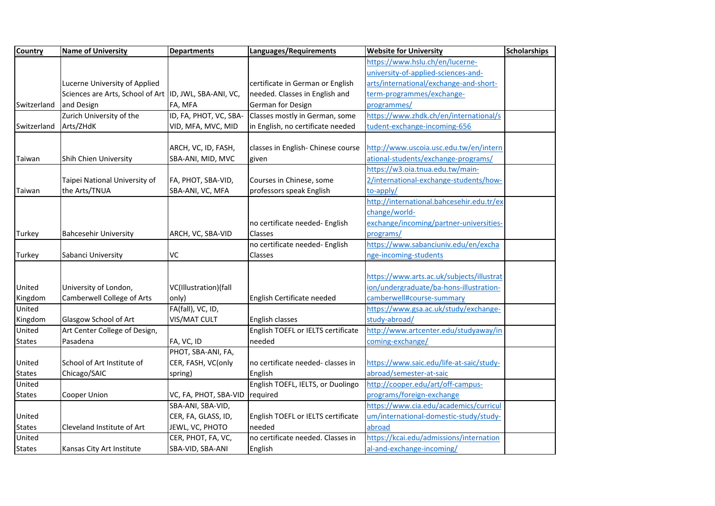| <b>Country</b> | <b>Name of University</b>                               | <b>Departments</b>     | Languages/Requirements             | <b>Website for University</b>             | <b>Scholarships</b> |
|----------------|---------------------------------------------------------|------------------------|------------------------------------|-------------------------------------------|---------------------|
|                |                                                         |                        |                                    | https://www.hslu.ch/en/lucerne-           |                     |
|                |                                                         |                        |                                    | university-of-applied-sciences-and-       |                     |
|                | Lucerne University of Applied                           |                        | certificate in German or English   | arts/international/exchange-and-short-    |                     |
|                | Sciences are Arts, School of Art  ID, JWL, SBA-ANI, VC, |                        | needed. Classes in English and     | term-programmes/exchange-                 |                     |
| Switzerland    | and Design                                              | FA, MFA                | German for Design                  | programmes/                               |                     |
|                | Zurich University of the                                | ID, FA, PHOT, VC, SBA- | Classes mostly in German, some     | https://www.zhdk.ch/en/international/s    |                     |
| Switzerland    | Arts/ZHdK                                               | VID, MFA, MVC, MID     | in English, no certificate needed  | tudent-exchange-incoming-656              |                     |
|                |                                                         |                        |                                    |                                           |                     |
|                |                                                         | ARCH, VC, ID, FASH,    | classes in English- Chinese course | http://www.uscoia.usc.edu.tw/en/intern    |                     |
| Taiwan         | Shih Chien University                                   | SBA-ANI, MID, MVC      | given                              | ational-students/exchange-programs/       |                     |
|                |                                                         |                        |                                    | https://w3.oia.tnua.edu.tw/main-          |                     |
|                | Taipei National University of                           | FA, PHOT, SBA-VID,     | Courses in Chinese, some           | 2/international-exchange-students/how-    |                     |
| Taiwan         | the Arts/TNUA                                           | SBA-ANI, VC, MFA       | professors speak English           | to-apply/                                 |                     |
|                |                                                         |                        |                                    | http://international.bahcesehir.edu.tr/ex |                     |
|                |                                                         |                        |                                    | change/world-                             |                     |
|                |                                                         |                        | no certificate needed- English     | exchange/incoming/partner-universities-   |                     |
| <b>Turkey</b>  | <b>Bahcesehir University</b>                            | ARCH, VC, SBA-VID      | Classes                            | programs/                                 |                     |
|                |                                                         |                        | no certificate needed- English     | https://www.sabanciuniv.edu/en/excha      |                     |
| <b>Turkey</b>  | Sabanci University                                      | VC                     | Classes                            | nge-incoming-students                     |                     |
|                |                                                         |                        |                                    |                                           |                     |
|                |                                                         |                        |                                    | https://www.arts.ac.uk/subjects/illustrat |                     |
| United         | University of London,                                   | VC(Illustration)(fall  |                                    | ion/undergraduate/ba-hons-illustration-   |                     |
| Kingdom        | Camberwell College of Arts                              | only)                  | English Certificate needed         | camberwell#course-summary                 |                     |
| United         |                                                         | FA(fall), VC, ID,      |                                    | https://www.gsa.ac.uk/study/exchange-     |                     |
| Kingdom        | Glasgow School of Art                                   | VIS/MAT CULT           | English classes                    | study-abroad/                             |                     |
| United         | Art Center College of Design,                           |                        | English TOEFL or IELTS certificate | http://www.artcenter.edu/studyaway/in     |                     |
| <b>States</b>  | Pasadena                                                | FA, VC, ID             | needed                             | coming-exchange/                          |                     |
|                |                                                         | PHOT, SBA-ANI, FA,     |                                    |                                           |                     |
| United         | School of Art Institute of                              | CER, FASH, VC(only     | no certificate needed- classes in  | https://www.saic.edu/life-at-saic/study-  |                     |
| <b>States</b>  | Chicago/SAIC                                            | spring)                | English                            | abroad/semester-at-saic                   |                     |
| United         |                                                         |                        | English TOEFL, IELTS, or Duolingo  | http://cooper.edu/art/off-campus-         |                     |
| <b>States</b>  | Cooper Union                                            | VC, FA, PHOT, SBA-VID  | required                           | programs/foreign-exchange                 |                     |
|                |                                                         | SBA-ANI, SBA-VID,      |                                    | https://www.cia.edu/academics/curricul    |                     |
| United         |                                                         | CER, FA, GLASS, ID,    | English TOEFL or IELTS certificate | um/international-domestic-study/study-    |                     |
| <b>States</b>  | Cleveland Institute of Art                              | JEWL, VC, PHOTO        | needed                             | abroad                                    |                     |
| United         |                                                         | CER, PHOT, FA, VC,     | no certificate needed. Classes in  | https://kcai.edu/admissions/internation   |                     |
| <b>States</b>  | Kansas City Art Institute                               | SBA-VID, SBA-ANI       | English                            | al-and-exchange-incoming/                 |                     |